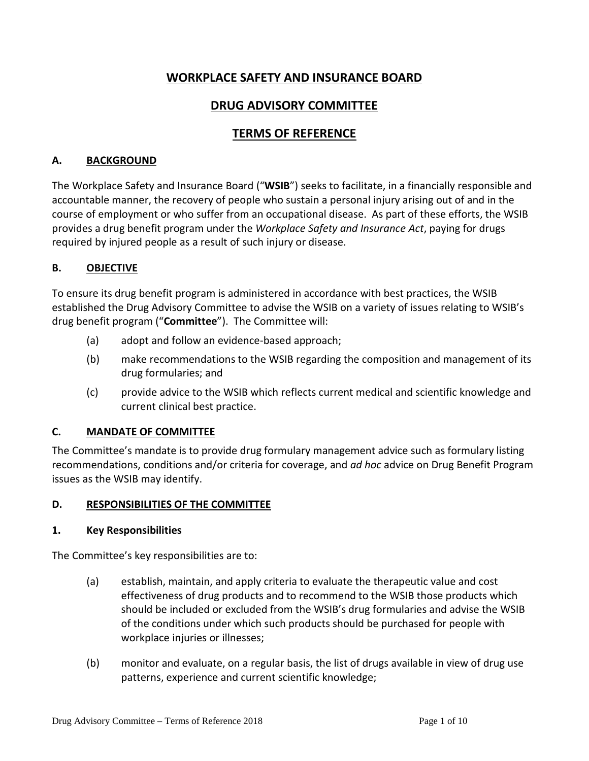# **WORKPLACE SAFETY AND INSURANCE BOARD**

# **DRUG ADVISORY COMMITTEE**

# **TERMS OF REFERENCE**

#### **A. BACKGROUND**

The Workplace Safety and Insurance Board ("**WSIB**") seeks to facilitate, in a financially responsible and accountable manner, the recovery of people who sustain a personal injury arising out of and in the course of employment or who suffer from an occupational disease. As part of these efforts, the WSIB provides a drug benefit program under the *Workplace Safety and Insurance Act*, paying for drugs required by injured people as a result of such injury or disease.

#### **B. OBJECTIVE**

To ensure its drug benefit program is administered in accordance with best practices, the WSIB established the Drug Advisory Committee to advise the WSIB on a variety of issues relating to WSIB's drug benefit program ("**Committee**"). The Committee will:

- (a) adopt and follow an evidence-based approach;
- (b) make recommendations to the WSIB regarding the composition and management of its drug formularies; and
- (c) provide advice to the WSIB which reflects current medical and scientific knowledge and current clinical best practice.

#### **C. MANDATE OF COMMITTEE**

The Committee's mandate is to provide drug formulary management advice such as formulary listing recommendations, conditions and/or criteria for coverage, and *ad hoc* advice on Drug Benefit Program issues as the WSIB may identify.

#### **D. RESPONSIBILITIES OF THE COMMITTEE**

#### **1. Key Responsibilities**

The Committee's key responsibilities are to:

- (a) establish, maintain, and apply criteria to evaluate the therapeutic value and cost effectiveness of drug products and to recommend to the WSIB those products which should be included or excluded from the WSIB's drug formularies and advise the WSIB of the conditions under which such products should be purchased for people with workplace injuries or illnesses;
- (b) monitor and evaluate, on a regular basis, the list of drugs available in view of drug use patterns, experience and current scientific knowledge;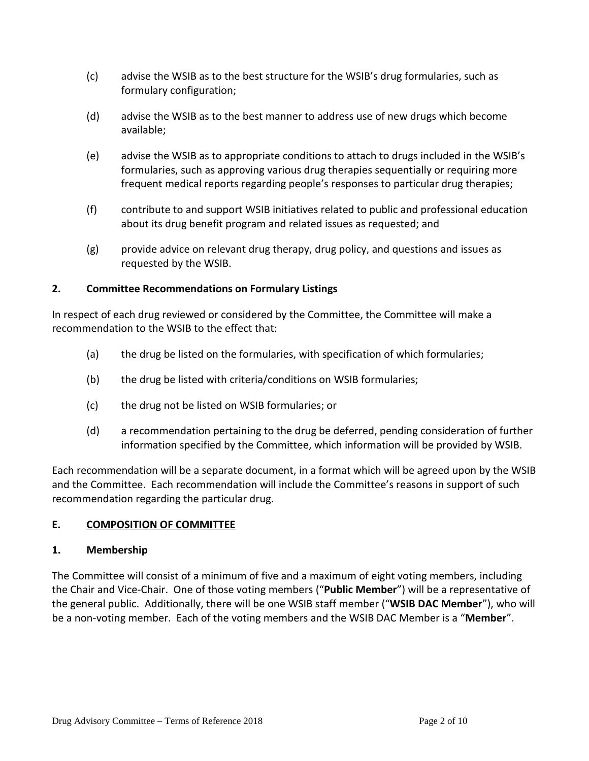- (c) advise the WSIB as to the best structure for the WSIB's drug formularies, such as formulary configuration;
- (d) advise the WSIB as to the best manner to address use of new drugs which become available;
- (e) advise the WSIB as to appropriate conditions to attach to drugs included in the WSIB's formularies, such as approving various drug therapies sequentially or requiring more frequent medical reports regarding people's responses to particular drug therapies;
- (f) contribute to and support WSIB initiatives related to public and professional education about its drug benefit program and related issues as requested; and
- (g) provide advice on relevant drug therapy, drug policy, and questions and issues as requested by the WSIB.

### **2. Committee Recommendations on Formulary Listings**

In respect of each drug reviewed or considered by the Committee, the Committee will make a recommendation to the WSIB to the effect that:

- (a) the drug be listed on the formularies, with specification of which formularies;
- (b) the drug be listed with criteria/conditions on WSIB formularies;
- (c) the drug not be listed on WSIB formularies; or
- (d) a recommendation pertaining to the drug be deferred, pending consideration of further information specified by the Committee, which information will be provided by WSIB.

Each recommendation will be a separate document, in a format which will be agreed upon by the WSIB and the Committee. Each recommendation will include the Committee's reasons in support of such recommendation regarding the particular drug.

### **E. COMPOSITION OF COMMITTEE**

### **1. Membership**

The Committee will consist of a minimum of five and a maximum of eight voting members, including the Chair and Vice-Chair. One of those voting members ("**Public Member**") will be a representative of the general public. Additionally, there will be one WSIB staff member ("**WSIB DAC Member**"), who will be a non-voting member. Each of the voting members and the WSIB DAC Member is a "**Member**".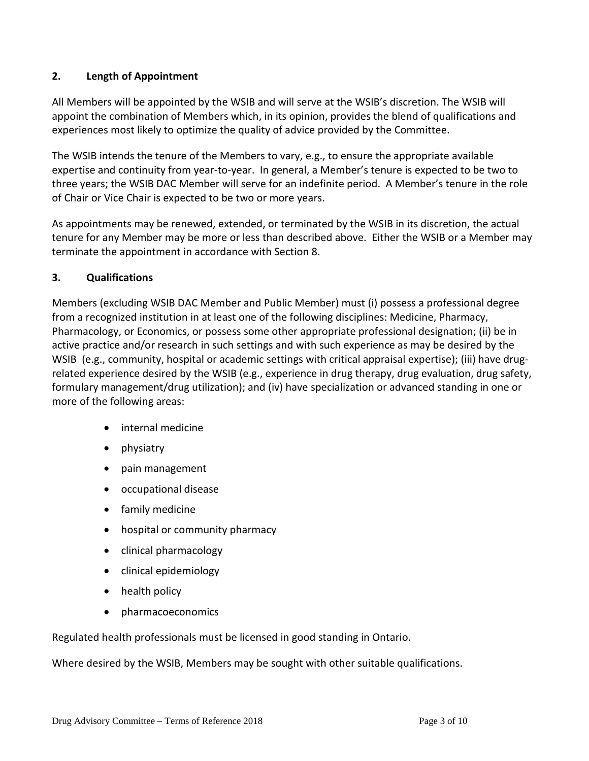### **2. Length of Appointment**

All Members will be appointed by the WSIB and will serve at the WSIB's discretion. The WSIB will appoint the combination of Members which, in its opinion, provides the blend of qualifications and experiences most likely to optimize the quality of advice provided by the Committee.

The WSIB intends the tenure of the Members to vary, e.g., to ensure the appropriate available expertise and continuity from year-to-year. In general, a Member's tenure is expected to be two to three years; the WSIB DAC Member will serve for an indefinite period. A Member's tenure in the role of Chair or Vice Chair is expected to be two or more years.

As appointments may be renewed, extended, or terminated by the WSIB in its discretion, the actual tenure for any Member may be more or less than described above. Either the WSIB or a Member may terminate the appointment in accordance with Section 8.

### **3. Qualifications**

Members (excluding WSIB DAC Member and Public Member) must (i) possess a professional degree from a recognized institution in at least one of the following disciplines: Medicine, Pharmacy, Pharmacology, or Economics, or possess some other appropriate professional designation; (ii) be in active practice and/or research in such settings and with such experience as may be desired by the WSIB (e.g., community, hospital or academic settings with critical appraisal expertise); (iii) have drugrelated experience desired by the WSIB (e.g., experience in drug therapy, drug evaluation, drug safety, formulary management/drug utilization); and (iv) have specialization or advanced standing in one or more of the following areas:

- internal medicine
- physiatry
- pain management
- occupational disease
- family medicine
- hospital or community pharmacy
- clinical pharmacology
- clinical epidemiology
- health policy
- pharmacoeconomics

Regulated health professionals must be licensed in good standing in Ontario.

Where desired by the WSIB, Members may be sought with other suitable qualifications.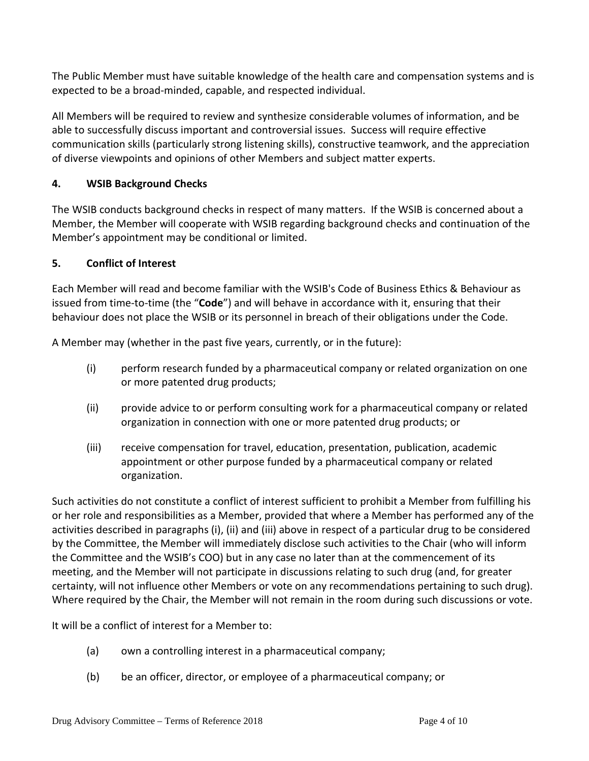The Public Member must have suitable knowledge of the health care and compensation systems and is expected to be a broad-minded, capable, and respected individual.

All Members will be required to review and synthesize considerable volumes of information, and be able to successfully discuss important and controversial issues. Success will require effective communication skills (particularly strong listening skills), constructive teamwork, and the appreciation of diverse viewpoints and opinions of other Members and subject matter experts.

## **4. WSIB Background Checks**

The WSIB conducts background checks in respect of many matters. If the WSIB is concerned about a Member, the Member will cooperate with WSIB regarding background checks and continuation of the Member's appointment may be conditional or limited.

### **5. Conflict of Interest**

Each Member will read and become familiar with the WSIB's Code of Business Ethics & Behaviour as issued from time-to-time (the "**Code**") and will behave in accordance with it, ensuring that their behaviour does not place the WSIB or its personnel in breach of their obligations under the Code.

A Member may (whether in the past five years, currently, or in the future):

- (i) perform research funded by a pharmaceutical company or related organization on one or more patented drug products;
- (ii) provide advice to or perform consulting work for a pharmaceutical company or related organization in connection with one or more patented drug products; or
- (iii) receive compensation for travel, education, presentation, publication, academic appointment or other purpose funded by a pharmaceutical company or related organization.

Such activities do not constitute a conflict of interest sufficient to prohibit a Member from fulfilling his or her role and responsibilities as a Member, provided that where a Member has performed any of the activities described in paragraphs (i), (ii) and (iii) above in respect of a particular drug to be considered by the Committee, the Member will immediately disclose such activities to the Chair (who will inform the Committee and the WSIB's COO) but in any case no later than at the commencement of its meeting, and the Member will not participate in discussions relating to such drug (and, for greater certainty, will not influence other Members or vote on any recommendations pertaining to such drug). Where required by the Chair, the Member will not remain in the room during such discussions or vote.

It will be a conflict of interest for a Member to:

- (a) own a controlling interest in a pharmaceutical company;
- (b) be an officer, director, or employee of a pharmaceutical company; or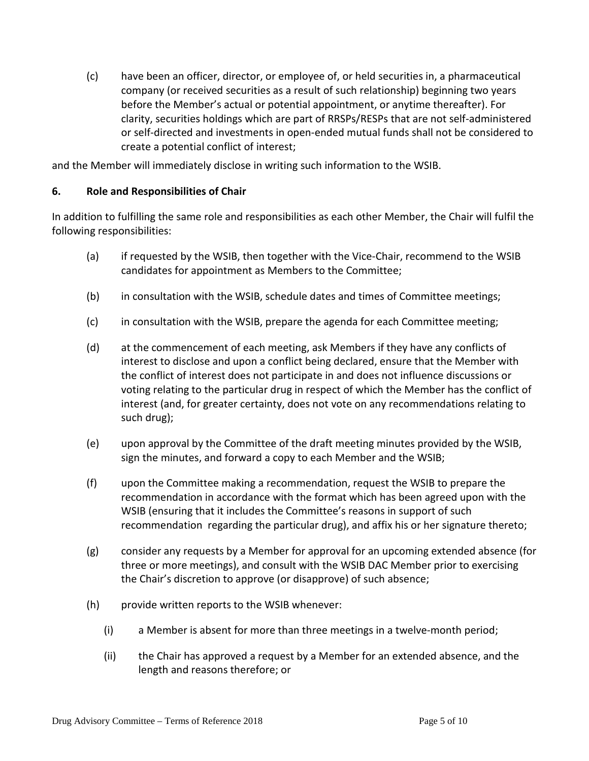(c) have been an officer, director, or employee of, or held securities in, a pharmaceutical company (or received securities as a result of such relationship) beginning two years before the Member's actual or potential appointment, or anytime thereafter). For clarity, securities holdings which are part of RRSPs/RESPs that are not self-administered or self-directed and investments in open-ended mutual funds shall not be considered to create a potential conflict of interest;

and the Member will immediately disclose in writing such information to the WSIB.

#### **6. Role and Responsibilities of Chair**

In addition to fulfilling the same role and responsibilities as each other Member, the Chair will fulfil the following responsibilities:

- (a) if requested by the WSIB, then together with the Vice-Chair, recommend to the WSIB candidates for appointment as Members to the Committee;
- (b) in consultation with the WSIB, schedule dates and times of Committee meetings;
- (c) in consultation with the WSIB, prepare the agenda for each Committee meeting;
- (d) at the commencement of each meeting, ask Members if they have any conflicts of interest to disclose and upon a conflict being declared, ensure that the Member with the conflict of interest does not participate in and does not influence discussions or voting relating to the particular drug in respect of which the Member has the conflict of interest (and, for greater certainty, does not vote on any recommendations relating to such drug);
- (e) upon approval by the Committee of the draft meeting minutes provided by the WSIB, sign the minutes, and forward a copy to each Member and the WSIB;
- (f) upon the Committee making a recommendation, request the WSIB to prepare the recommendation in accordance with the format which has been agreed upon with the WSIB (ensuring that it includes the Committee's reasons in support of such recommendation regarding the particular drug), and affix his or her signature thereto;
- (g) consider any requests by a Member for approval for an upcoming extended absence (for three or more meetings), and consult with the WSIB DAC Member prior to exercising the Chair's discretion to approve (or disapprove) of such absence;
- (h) provide written reports to the WSIB whenever:
	- (i) a Member is absent for more than three meetings in a twelve-month period;
	- (ii) the Chair has approved a request by a Member for an extended absence, and the length and reasons therefore; or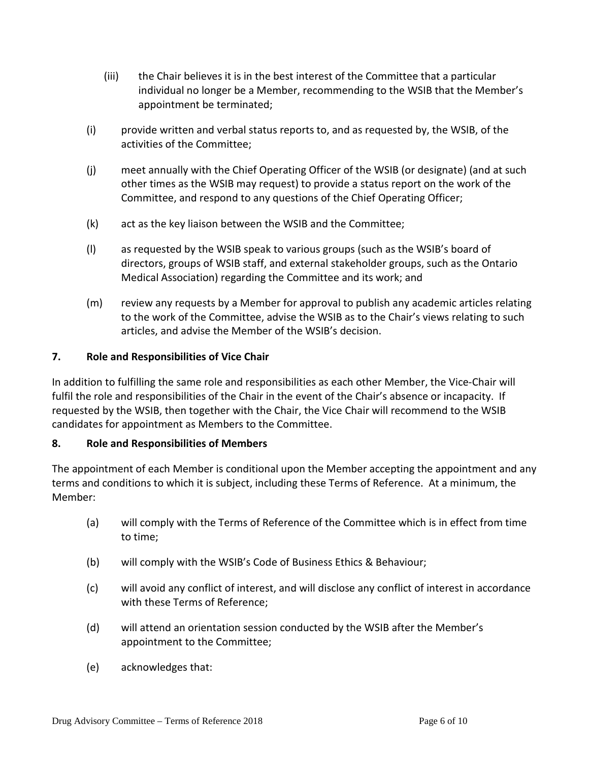- (iii) the Chair believes it is in the best interest of the Committee that a particular individual no longer be a Member, recommending to the WSIB that the Member's appointment be terminated;
- (i) provide written and verbal status reports to, and as requested by, the WSIB, of the activities of the Committee;
- (j) meet annually with the Chief Operating Officer of the WSIB (or designate) (and at such other times as the WSIB may request) to provide a status report on the work of the Committee, and respond to any questions of the Chief Operating Officer;
- (k) act as the key liaison between the WSIB and the Committee;
- (l) as requested by the WSIB speak to various groups (such as the WSIB's board of directors, groups of WSIB staff, and external stakeholder groups, such as the Ontario Medical Association) regarding the Committee and its work; and
- (m) review any requests by a Member for approval to publish any academic articles relating to the work of the Committee, advise the WSIB as to the Chair's views relating to such articles, and advise the Member of the WSIB's decision.

## **7. Role and Responsibilities of Vice Chair**

In addition to fulfilling the same role and responsibilities as each other Member, the Vice-Chair will fulfil the role and responsibilities of the Chair in the event of the Chair's absence or incapacity. If requested by the WSIB, then together with the Chair, the Vice Chair will recommend to the WSIB candidates for appointment as Members to the Committee.

### **8. Role and Responsibilities of Members**

The appointment of each Member is conditional upon the Member accepting the appointment and any terms and conditions to which it is subject, including these Terms of Reference. At a minimum, the Member:

- (a) will comply with the Terms of Reference of the Committee which is in effect from time to time;
- (b) will comply with the WSIB's Code of Business Ethics & Behaviour;
- (c) will avoid any conflict of interest, and will disclose any conflict of interest in accordance with these Terms of Reference;
- (d) will attend an orientation session conducted by the WSIB after the Member's appointment to the Committee;
- (e) acknowledges that: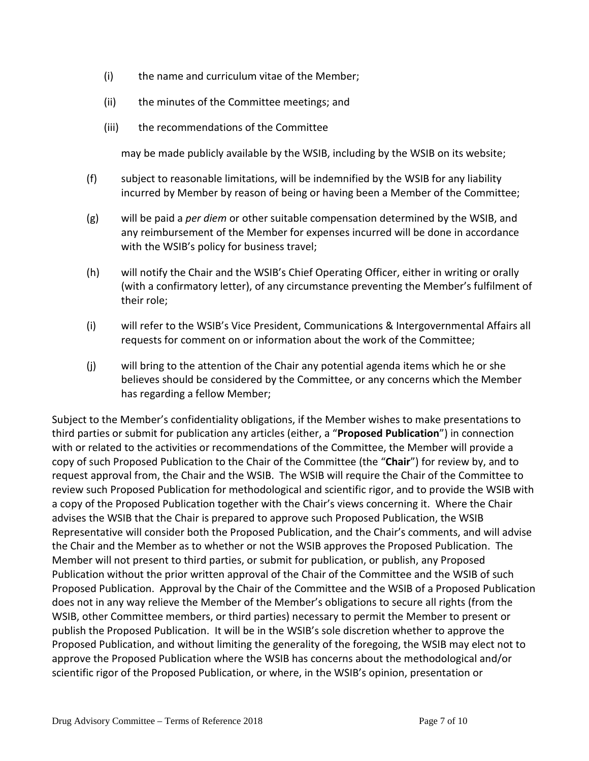- (i) the name and curriculum vitae of the Member;
- (ii) the minutes of the Committee meetings; and
- (iii) the recommendations of the Committee

may be made publicly available by the WSIB, including by the WSIB on its website;

- (f) subject to reasonable limitations, will be indemnified by the WSIB for any liability incurred by Member by reason of being or having been a Member of the Committee;
- (g) will be paid a *per diem* or other suitable compensation determined by the WSIB, and any reimbursement of the Member for expenses incurred will be done in accordance with the WSIB's policy for business travel;
- (h) will notify the Chair and the WSIB's Chief Operating Officer, either in writing or orally (with a confirmatory letter), of any circumstance preventing the Member's fulfilment of their role;
- (i) will refer to the WSIB's Vice President, Communications & Intergovernmental Affairs all requests for comment on or information about the work of the Committee;
- (j) will bring to the attention of the Chair any potential agenda items which he or she believes should be considered by the Committee, or any concerns which the Member has regarding a fellow Member;

Subject to the Member's confidentiality obligations, if the Member wishes to make presentations to third parties or submit for publication any articles (either, a "**Proposed Publication**") in connection with or related to the activities or recommendations of the Committee, the Member will provide a copy of such Proposed Publication to the Chair of the Committee (the "**Chair**") for review by, and to request approval from, the Chair and the WSIB. The WSIB will require the Chair of the Committee to review such Proposed Publication for methodological and scientific rigor, and to provide the WSIB with a copy of the Proposed Publication together with the Chair's views concerning it. Where the Chair advises the WSIB that the Chair is prepared to approve such Proposed Publication, the WSIB Representative will consider both the Proposed Publication, and the Chair's comments, and will advise the Chair and the Member as to whether or not the WSIB approves the Proposed Publication. The Member will not present to third parties, or submit for publication, or publish, any Proposed Publication without the prior written approval of the Chair of the Committee and the WSIB of such Proposed Publication. Approval by the Chair of the Committee and the WSIB of a Proposed Publication does not in any way relieve the Member of the Member's obligations to secure all rights (from the WSIB, other Committee members, or third parties) necessary to permit the Member to present or publish the Proposed Publication. It will be in the WSIB's sole discretion whether to approve the Proposed Publication, and without limiting the generality of the foregoing, the WSIB may elect not to approve the Proposed Publication where the WSIB has concerns about the methodological and/or scientific rigor of the Proposed Publication, or where, in the WSIB's opinion, presentation or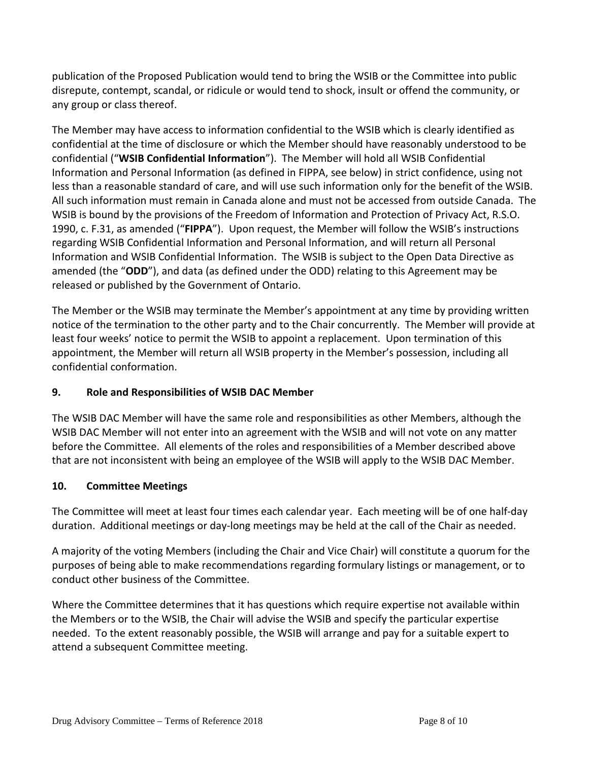publication of the Proposed Publication would tend to bring the WSIB or the Committee into public disrepute, contempt, scandal, or ridicule or would tend to shock, insult or offend the community, or any group or class thereof.

The Member may have access to information confidential to the WSIB which is clearly identified as confidential at the time of disclosure or which the Member should have reasonably understood to be confidential ("**WSIB Confidential Information**"). The Member will hold all WSIB Confidential Information and Personal Information (as defined in FIPPA, see below) in strict confidence, using not less than a reasonable standard of care, and will use such information only for the benefit of the WSIB. All such information must remain in Canada alone and must not be accessed from outside Canada. The WSIB is bound by the provisions of the Freedom of Information and Protection of Privacy Act, R.S.O. 1990, c. F.31, as amended ("**FIPPA**"). Upon request, the Member will follow the WSIB's instructions regarding WSIB Confidential Information and Personal Information, and will return all Personal Information and WSIB Confidential Information. The WSIB is subject to the Open Data Directive as amended (the "**ODD**"), and data (as defined under the ODD) relating to this Agreement may be released or published by the Government of Ontario.

The Member or the WSIB may terminate the Member's appointment at any time by providing written notice of the termination to the other party and to the Chair concurrently. The Member will provide at least four weeks' notice to permit the WSIB to appoint a replacement. Upon termination of this appointment, the Member will return all WSIB property in the Member's possession, including all confidential conformation.

### **9. Role and Responsibilities of WSIB DAC Member**

The WSIB DAC Member will have the same role and responsibilities as other Members, although the WSIB DAC Member will not enter into an agreement with the WSIB and will not vote on any matter before the Committee. All elements of the roles and responsibilities of a Member described above that are not inconsistent with being an employee of the WSIB will apply to the WSIB DAC Member.

# **10. Committee Meetings**

The Committee will meet at least four times each calendar year. Each meeting will be of one half-day duration. Additional meetings or day-long meetings may be held at the call of the Chair as needed.

A majority of the voting Members (including the Chair and Vice Chair) will constitute a quorum for the purposes of being able to make recommendations regarding formulary listings or management, or to conduct other business of the Committee.

Where the Committee determines that it has questions which require expertise not available within the Members or to the WSIB, the Chair will advise the WSIB and specify the particular expertise needed. To the extent reasonably possible, the WSIB will arrange and pay for a suitable expert to attend a subsequent Committee meeting.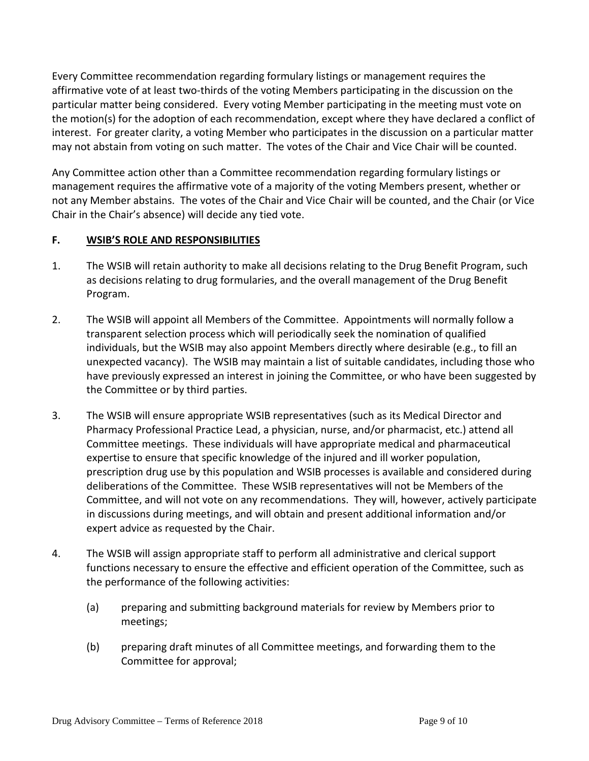Every Committee recommendation regarding formulary listings or management requires the affirmative vote of at least two-thirds of the voting Members participating in the discussion on the particular matter being considered. Every voting Member participating in the meeting must vote on the motion(s) for the adoption of each recommendation, except where they have declared a conflict of interest. For greater clarity, a voting Member who participates in the discussion on a particular matter may not abstain from voting on such matter. The votes of the Chair and Vice Chair will be counted.

Any Committee action other than a Committee recommendation regarding formulary listings or management requires the affirmative vote of a majority of the voting Members present, whether or not any Member abstains. The votes of the Chair and Vice Chair will be counted, and the Chair (or Vice Chair in the Chair's absence) will decide any tied vote.

## **F. WSIB'S ROLE AND RESPONSIBILITIES**

- 1. The WSIB will retain authority to make all decisions relating to the Drug Benefit Program, such as decisions relating to drug formularies, and the overall management of the Drug Benefit Program.
- 2. The WSIB will appoint all Members of the Committee. Appointments will normally follow a transparent selection process which will periodically seek the nomination of qualified individuals, but the WSIB may also appoint Members directly where desirable (e.g., to fill an unexpected vacancy). The WSIB may maintain a list of suitable candidates, including those who have previously expressed an interest in joining the Committee, or who have been suggested by the Committee or by third parties.
- 3. The WSIB will ensure appropriate WSIB representatives (such as its Medical Director and Pharmacy Professional Practice Lead, a physician, nurse, and/or pharmacist, etc.) attend all Committee meetings. These individuals will have appropriate medical and pharmaceutical expertise to ensure that specific knowledge of the injured and ill worker population, prescription drug use by this population and WSIB processes is available and considered during deliberations of the Committee. These WSIB representatives will not be Members of the Committee, and will not vote on any recommendations. They will, however, actively participate in discussions during meetings, and will obtain and present additional information and/or expert advice as requested by the Chair.
- 4. The WSIB will assign appropriate staff to perform all administrative and clerical support functions necessary to ensure the effective and efficient operation of the Committee, such as the performance of the following activities:
	- (a) preparing and submitting background materials for review by Members prior to meetings;
	- (b) preparing draft minutes of all Committee meetings, and forwarding them to the Committee for approval;